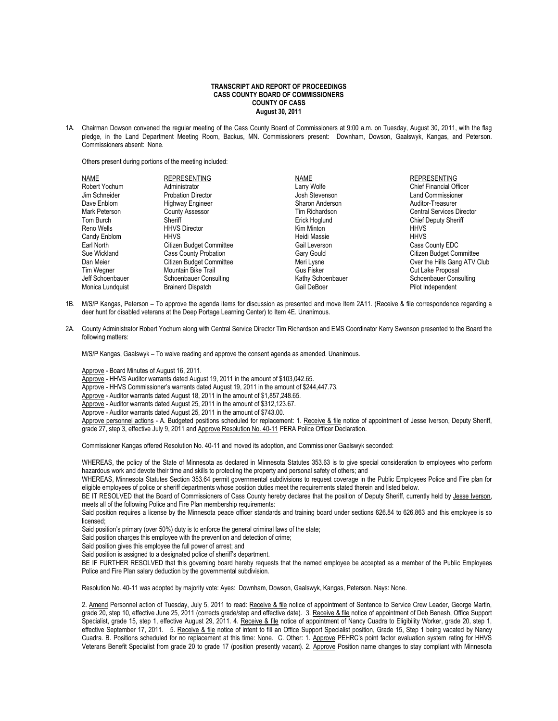## **TRANSCRIPT AND REPORT OF PROCEEDINGS CASS COUNTY BOARD OF COMMISSIONERS COUNTY OF CASS August 30, 2011**

1A. Chairman Dowson convened the regular meeting of the Cass County Board of Commissioners at 9:00 a.m. on Tuesday, August 30, 2011, with the flag pledge, in the Land Department Meeting Room, Backus, MN. Commissioners present: Downham, Dowson, Gaalswyk, Kangas, and Peterson. Commissioners absent: None.

Others present during portions of the meeting included:

| <b>NAME</b>      | <b>REPRESENTING</b>          | <b>NAME</b>       | <b>REPRESENTING</b>              |
|------------------|------------------------------|-------------------|----------------------------------|
| Robert Yochum    | Administrator                | Larry Wolfe       | <b>Chief Financial Officer</b>   |
| Jim Schneider    | <b>Probation Director</b>    | Josh Stevenson    | <b>Land Commissioner</b>         |
| Dave Enblom      | <b>Highway Engineer</b>      | Sharon Anderson   | Auditor-Treasurer                |
| Mark Peterson    | <b>County Assessor</b>       | Tim Richardson    | <b>Central Services Director</b> |
| Tom Burch        | Sheriff                      | Erick Hoglund     | <b>Chief Deputy Sheriff</b>      |
| Reno Wells       | <b>HHVS Director</b>         | Kim Minton        | <b>HHVS</b>                      |
| Candy Enblom     | <b>HHVS</b>                  | Heidi Massie      | <b>HHVS</b>                      |
| Earl North       | Citizen Budget Committee     | Gail Leverson     | Cass County EDC                  |
| Sue Wickland     | <b>Cass County Probation</b> | Gary Gould        | Citizen Budget Committee         |
| Dan Meier        | Citizen Budget Committee     | Meri Lysne        | Over the Hills Gang ATV Club     |
| Tim Wegner       | Mountain Bike Trail          | <b>Gus Fisker</b> | Cut Lake Proposal                |
| Jeff Schoenbauer | Schoenbauer Consulting       | Kathy Schoenbauer | <b>Schoenbauer Consulting</b>    |
| Monica Lundquist | <b>Brainerd Dispatch</b>     | Gail DeBoer       | Pilot Independent                |

- 1B. M/S/P Kangas, Peterson To approve the agenda items for discussion as presented and move Item 2A11. (Receive & file correspondence regarding a deer hunt for disabled veterans at the Deep Portage Learning Center) to Item 4E. Unanimous.
- 2A. County Administrator Robert Yochum along with Central Service Director Tim Richardson and EMS Coordinator Kerry Swenson presented to the Board the following matters:

M/S/P Kangas, Gaalswyk – To waive reading and approve the consent agenda as amended. Unanimous.

Approve - Board Minutes of August 16, 2011.

- Approve HHVS Auditor warrants dated August 19, 2011 in the amount of \$103,042.65.
- Approve HHVS Commissioner's warrants dated August 19, 2011 in the amount of \$244,447.73.
- Approve Auditor warrants dated August 18, 2011 in the amount of \$1,857,248.65.
- Approve Auditor warrants dated August 25, 2011 in the amount of \$312,123.67.
- Approve Auditor warrants dated August 25, 2011 in the amount of \$743.00.

Approve personnel actions - A. Budgeted positions scheduled for replacement: 1. Receive & file notice of appointment of Jesse Iverson, Deputy Sheriff, grade 27, step 3, effective July 9, 2011 and Approve Resolution No. 40-11 PERA Police Officer Declaration.

Commissioner Kangas offered Resolution No. 40-11 and moved its adoption, and Commissioner Gaalswyk seconded:

WHEREAS, the policy of the State of Minnesota as declared in Minnesota Statutes 353.63 is to give special consideration to employees who perform hazardous work and devote their time and skills to protecting the property and personal safety of others; and

WHEREAS, Minnesota Statutes Section 353.64 permit governmental subdivisions to request coverage in the Public Employees Police and Fire plan for eligible employees of police or sheriff departments whose position duties meet the requirements stated therein and listed below.

BE IT RESOLVED that the Board of Commissioners of Cass County hereby declares that the position of Deputy Sheriff, currently held by Jesse Iverson, meets all of the following Police and Fire Plan membership requirements:

Said position requires a license by the Minnesota peace officer standards and training board under sections 626.84 to 626.863 and this employee is so licensed;

Said position's primary (over 50%) duty is to enforce the general criminal laws of the state;

Said position charges this employee with the prevention and detection of crime;

Said position gives this employee the full power of arrest; and

Said position is assigned to a designated police of sheriff's department.

BE IF FURTHER RESOLVED that this governing board hereby requests that the named employee be accepted as a member of the Public Employees Police and Fire Plan salary deduction by the governmental subdivision.

Resolution No. 40-11 was adopted by majority vote: Ayes: Downham, Dowson, Gaalswyk, Kangas, Peterson. Nays: None.

2. Amend Personnel action of Tuesday, July 5, 2011 to read: Receive & file notice of appointment of Sentence to Service Crew Leader, George Martin, grade 20, step 10, effective June 25, 2011 (corrects grade/step and effective date). 3. Receive & file notice of appointment of Deb Benesh, Office Support Specialist, grade 15, step 1, effective August 29, 2011. 4. Receive & file notice of appointment of Nancy Cuadra to Eligibility Worker, grade 20, step 1, effective September 17, 2011. 5. Receive & file notice of intent to fill an Office Support Specialist position, Grade 15, Step 1 being vacated by Nancy Cuadra. B. Positions scheduled for no replacement at this time: None. C. Other: 1. Approve PEHRC's point factor evaluation system rating for HHVS Veterans Benefit Specialist from grade 20 to grade 17 (position presently vacant). 2. Approve Position name changes to stay compliant with Minnesota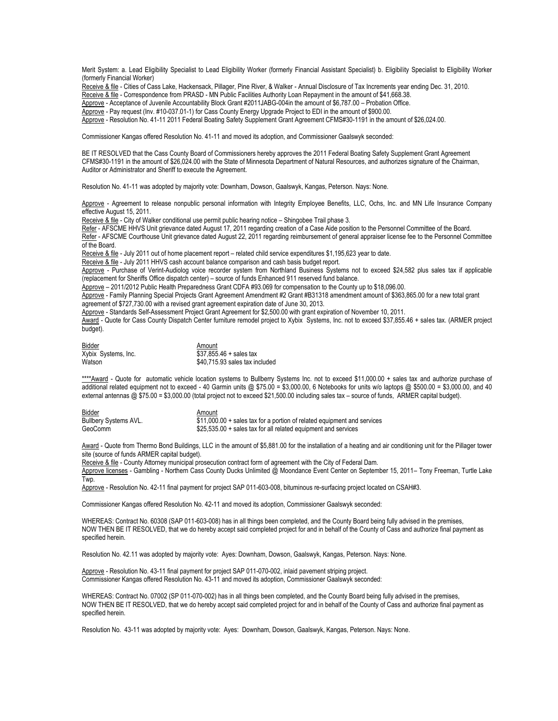Merit System: a. Lead Eligibility Specialist to Lead Eligibility Worker (formerly Financial Assistant Specialist) b. Eligibility Specialist to Eligibility Worker (formerly Financial Worker)

Receive & file - Cities of Cass Lake, Hackensack, Pillager, Pine River, & Walker - Annual Disclosure of Tax Increments year ending Dec. 31, 2010.

Receive & file - Correspondence from PRASD - MN Public Facilities Authority Loan Repayment in the amount of \$41,668.38.

Approve - Acceptance of Juvenile Accountability Block Grant #2011JABG-004in the amount of \$6,787.00 - Probation Office.

Approve - Pay request (Inv. #10-037.01-1) for Cass County Energy Upgrade Project to EDI in the amount of \$900.00.

Approve - Resolution No. 41-11 2011 Federal Boating Safety Supplement Grant Agreement CFMS#30-1191 in the amount of \$26,024.00.

Commissioner Kangas offered Resolution No. 41-11 and moved its adoption, and Commissioner Gaalswyk seconded:

BE IT RESOLVED that the Cass County Board of Commissioners hereby approves the 2011 Federal Boating Safety Supplement Grant Agreement CFMS#30-1191 in the amount of \$26,024.00 with the State of Minnesota Department of Natural Resources, and authorizes signature of the Chairman, Auditor or Administrator and Sheriff to execute the Agreement.

Resolution No. 41-11 was adopted by majority vote: Downham, Dowson, Gaalswyk, Kangas, Peterson. Nays: None.

Approve - Agreement to release nonpublic personal information with Integrity Employee Benefits, LLC, Ochs, Inc. and MN Life Insurance Company effective August 15, 2011.

Receive & file - City of Walker conditional use permit public hearing notice - Shingobee Trail phase 3.

Refer - AFSCME HHVS Unit grievance dated August 17, 2011 regarding creation of a Case Aide position to the Personnel Committee of the Board. Refer - AFSCME Courthouse Unit grievance dated August 22, 2011 regarding reimbursement of general appraiser license fee to the Personnel Committee of the Board.

Receive & file - July 2011 out of home placement report – related child service expenditures \$1,195,623 year to date.

Receive & file - July 2011 HHVS cash account balance comparison and cash basis budget report.

Approve - Purchase of Verint-Audiolog voice recorder system from Northland Business Systems not to exceed \$24,582 plus sales tax if applicable (replacement for Sheriffs Office dispatch center) – source of funds Enhanced 911 reserved fund balance.

Approve – 2011/2012 Public Health Preparedness Grant CDFA #93.069 for compensation to the County up to \$18,096.00.

Approve - Family Planning Special Projects Grant Agreement Amendment #2 Grant #B31318 amendment amount of \$363,865.00 for a new total grant agreement of \$727,730.00 with a revised grant agreement expiration date of June 30, 2013.

Approve - Standards Self-Assessment Project Grant Agreement for \$2,500.00 with grant expiration of November 10, 2011.

Award - Quote for Cass County Dispatch Center furniture remodel project to Xybix Systems, Inc. not to exceed \$37,855.46 + sales tax. (ARMER project budget).

| Bidder              | Amount                         |
|---------------------|--------------------------------|
| Xybix Systems, Inc. | $$37.855.46 + sales tax$       |
| Watson              | \$40,715.93 sales tax included |

\*\*\*\*Award - Quote for automatic vehicle location systems to Bullberry Systems Inc. not to exceed \$11,000.00 + sales tax and authorize purchase of additional related equipment not to exceed - 40 Garmin units @ \$75.00 = \$3,000.00, 6 Notebooks for units w/o laptops @ \$500.00 = \$3,000.00, and 40 external antennas @ \$75.00 = \$3,000.00 (total project not to exceed \$21,500.00 including sales tax – source of funds, ARMER capital budget).

| Bidder                       | Amount                                                                  |
|------------------------------|-------------------------------------------------------------------------|
| <b>Bullbery Systems AVL.</b> | \$11,000.00 + sales tax for a portion of related equipment and services |
| GeoComm                      | \$25,535.00 + sales tax for all related equipment and services          |

Award - Quote from Thermo Bond Buildings, LLC in the amount of \$5,881.00 for the installation of a heating and air conditioning unit for the Pillager tower site (source of funds ARMER capital budget).

Receive & file - County Attorney municipal prosecution contract form of agreement with the City of Federal Dam.

Approve licenses - Gambling - Northern Cass County Ducks Unlimited @ Moondance Event Center on September 15, 2011– Tony Freeman, Turtle Lake Twp.

Approve - Resolution No. 42-11 final payment for project SAP 011-603-008, bituminous re-surfacing project located on CSAH#3.

Commissioner Kangas offered Resolution No. 42-11 and moved its adoption, Commissioner Gaalswyk seconded:

WHEREAS: Contract No. 60308 (SAP 011-603-008) has in all things been completed, and the County Board being fully advised in the premises, NOW THEN BE IT RESOLVED, that we do hereby accept said completed project for and in behalf of the County of Cass and authorize final payment as specified herein.

Resolution No. 42.11 was adopted by majority vote: Ayes: Downham, Dowson, Gaalswyk, Kangas, Peterson. Nays: None.

Approve - Resolution No. 43-11 final payment for project SAP 011-070-002, inlaid pavement striping project. Commissioner Kangas offered Resolution No. 43-11 and moved its adoption, Commissioner Gaalswyk seconded:

WHEREAS: Contract No. 07002 (SP 011-070-002) has in all things been completed, and the County Board being fully advised in the premises, NOW THEN BE IT RESOLVED, that we do hereby accept said completed project for and in behalf of the County of Cass and authorize final payment as specified herein.

Resolution No. 43-11 was adopted by majority vote: Ayes: Downham, Dowson, Gaalswyk, Kangas, Peterson. Nays: None.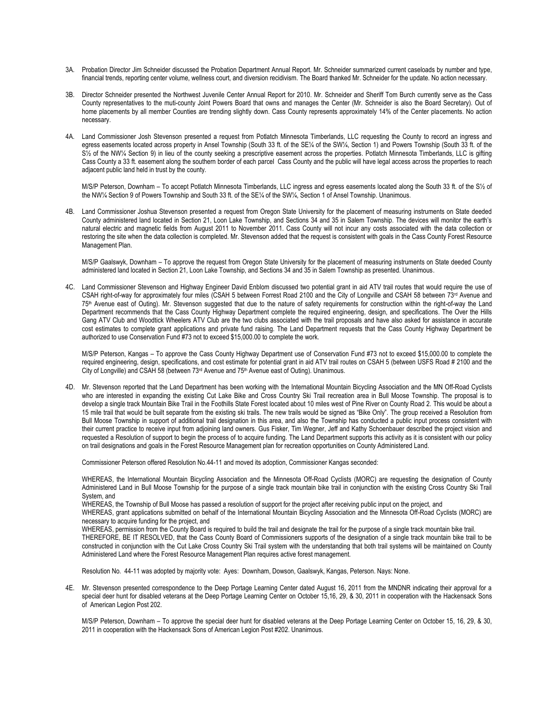- 3A. Probation Director Jim Schneider discussed the Probation Department Annual Report. Mr. Schneider summarized current caseloads by number and type, financial trends, reporting center volume, wellness court, and diversion recidivism. The Board thanked Mr. Schneider for the update. No action necessary.
- 3B. Director Schneider presented the Northwest Juvenile Center Annual Report for 2010. Mr. Schneider and Sheriff Tom Burch currently serve as the Cass County representatives to the muti-county Joint Powers Board that owns and manages the Center (Mr. Schneider is also the Board Secretary). Out of home placements by all member Counties are trending slightly down. Cass County represents approximately 14% of the Center placements. No action necessary.
- 4A. Land Commissioner Josh Stevenson presented a request from Potlatch Minnesota Timberlands, LLC requesting the County to record an ingress and egress easements located across property in Ansel Township (South 33 ft. of the SE¼ of the SW¼, Section 1) and Powers Township (South 33 ft. of the S<sup>1</sup>/<sub>2</sub> of the NW<sup>1</sup>/<sub>4</sub> Section 9) in lieu of the county seeking a prescriptive easement across the properties. Potlatch Minnesota Timberlands, LLC is gifting Cass County a 33 ft. easement along the southern border of each parcel Cass County and the public will have legal access across the properties to reach adjacent public land held in trust by the county.

M/S/P Peterson, Downham – To accept Potlatch Minnesota Timberlands, LLC ingress and egress easements located along the South 33 ft. of the S½ of the NW¼ Section 9 of Powers Township and South 33 ft. of the SE¼ of the SW¼, Section 1 of Ansel Township. Unanimous.

4B. Land Commissioner Joshua Stevenson presented a request from Oregon State University for the placement of measuring instruments on State deeded County administered land located in Section 21, Loon Lake Township, and Sections 34 and 35 in Salem Township. The devices will monitor the earth's natural electric and magnetic fields from August 2011 to November 2011. Cass County will not incur any costs associated with the data collection or restoring the site when the data collection is completed. Mr. Stevenson added that the request is consistent with goals in the Cass County Forest Resource Management Plan.

M/S/P Gaalswyk, Downham – To approve the request from Oregon State University for the placement of measuring instruments on State deeded County administered land located in Section 21, Loon Lake Township, and Sections 34 and 35 in Salem Township as presented. Unanimous.

4C. Land Commissioner Stevenson and Highway Engineer David Enblom discussed two potential grant in aid ATV trail routes that would require the use of CSAH right-of-way for approximately four miles (CSAH 5 between Forrest Road 2100 and the City of Longville and CSAH 58 between 73<sup>rd</sup> Avenue and 75th Avenue east of Outing). Mr. Stevenson suggested that due to the nature of safety requirements for construction within the right-of-way the Land Department recommends that the Cass County Highway Department complete the required engineering, design, and specifications. The Over the Hills Gang ATV Club and Woodtick Wheelers ATV Club are the two clubs associated with the trail proposals and have also asked for assistance in accurate cost estimates to complete grant applications and private fund raising. The Land Department requests that the Cass County Highway Department be authorized to use Conservation Fund #73 not to exceed \$15,000.00 to complete the work.

M/S/P Peterson, Kangas – To approve the Cass County Highway Department use of Conservation Fund #73 not to exceed \$15,000.00 to complete the required engineering, design, specifications, and cost estimate for potential grant in aid ATV trail routes on CSAH 5 (between USFS Road # 2100 and the City of Longville) and CSAH 58 (between 73<sup>rd</sup> Avenue and 75<sup>th</sup> Avenue east of Outing). Unanimous.

4D. Mr. Stevenson reported that the Land Department has been working with the International Mountain Bicycling Association and the MN Off-Road Cyclists who are interested in expanding the existing Cut Lake Bike and Cross Country Ski Trail recreation area in Bull Moose Township. The proposal is to develop a single track Mountain Bike Trail in the Foothills State Forest located about 10 miles west of Pine River on County Road 2. This would be about a 15 mile trail that would be built separate from the existing ski trails. The new trails would be signed as "Bike Only". The group received a Resolution from Bull Moose Township in support of additional trail designation in this area, and also the Township has conducted a public input process consistent with their current practice to receive input from adjoining land owners. Gus Fisker, Tim Wegner, Jeff and Kathy Schoenbauer described the project vision and requested a Resolution of support to begin the process of to acquire funding. The Land Department supports this activity as it is consistent with our policy on trail designations and goals in the Forest Resource Management plan for recreation opportunities on County Administered Land.

Commissioner Peterson offered Resolution No.44-11 and moved its adoption, Commissioner Kangas seconded:

WHEREAS, the International Mountain Bicycling Association and the Minnesota Off-Road Cyclists (MORC) are requesting the designation of County Administered Land in Bull Moose Township for the purpose of a single track mountain bike trail in conjunction with the existing Cross Country Ski Trail System, and

WHEREAS, the Township of Bull Moose has passed a resolution of support for the project after receiving public input on the project, and

WHEREAS, grant applications submitted on behalf of the International Mountain Bicycling Association and the Minnesota Off-Road Cyclists (MORC) are necessary to acquire funding for the project, and

WHEREAS, permission from the County Board is required to build the trail and designate the trail for the purpose of a single track mountain bike trail.

THEREFORE, BE IT RESOLVED, that the Cass County Board of Commissioners supports of the designation of a single track mountain bike trail to be constructed in conjunction with the Cut Lake Cross Country Ski Trail system with the understanding that both trail systems will be maintained on County Administered Land where the Forest Resource Management Plan requires active forest management.

Resolution No. 44-11 was adopted by majority vote: Ayes: Downham, Dowson, Gaalswyk, Kangas, Peterson. Nays: None.

4E. Mr. Stevenson presented correspondence to the Deep Portage Learning Center dated August 16, 2011 from the MNDNR indicating their approval for a special deer hunt for disabled veterans at the Deep Portage Learning Center on October 15,16, 29, & 30, 2011 in cooperation with the Hackensack Sons of American Legion Post 202.

M/S/P Peterson, Downham – To approve the special deer hunt for disabled veterans at the Deep Portage Learning Center on October 15, 16, 29, & 30, 2011 in cooperation with the Hackensack Sons of American Legion Post #202. Unanimous.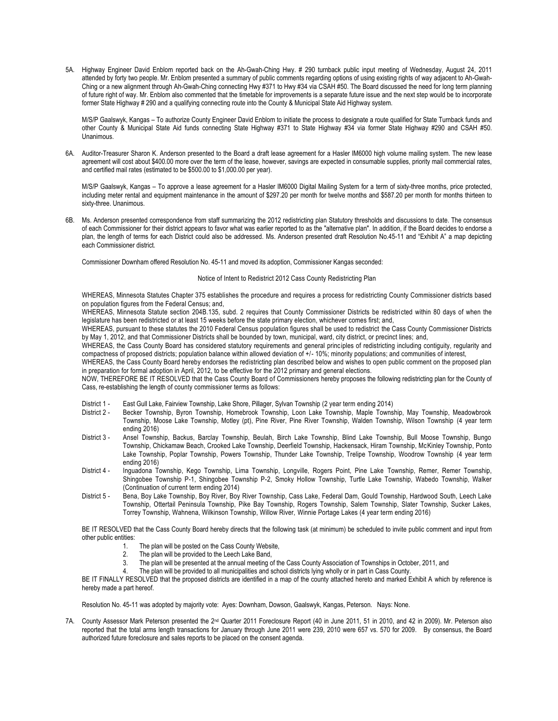5A. Highway Engineer David Enblom reported back on the Ah-Gwah-Ching Hwy. # 290 turnback public input meeting of Wednesday, August 24, 2011 attended by forty two people. Mr. Enblom presented a summary of public comments regarding options of using existing rights of way adjacent to Ah-Gwah-Ching or a new alignment through Ah-Gwah-Ching connecting Hwy #371 to Hwy #34 via CSAH #50. The Board discussed the need for long term planning of future right of way. Mr. Enblom also commented that the timetable for improvements is a separate future issue and the next step would be to incorporate former State Highway # 290 and a qualifying connecting route into the County & Municipal State Aid Highway system.

M/S/P Gaalswyk, Kangas – To authorize County Engineer David Enblom to initiate the process to designate a route qualified for State Turnback funds and other County & Municipal State Aid funds connecting State Highway #371 to State Highway #34 via former State Highway #290 and CSAH #50. Unanimous.

6A. Auditor-Treasurer Sharon K. Anderson presented to the Board a draft lease agreement for a Hasler IM6000 high volume mailing system. The new lease agreement will cost about \$400.00 more over the term of the lease, however, savings are expected in consumable supplies, priority mail commercial rates, and certified mail rates (estimated to be \$500.00 to \$1,000.00 per year).

M/S/P Gaalswyk, Kangas – To approve a lease agreement for a Hasler IM6000 Digital Mailing System for a term of sixty-three months, price protected, including meter rental and equipment maintenance in the amount of \$297.20 per month for twelve months and \$587.20 per month for months thirteen to sixty-three. Unanimous.

6B. Ms. Anderson presented correspondence from staff summarizing the 2012 redistricting plan Statutory thresholds and discussions to date. The consensus of each Commissioner for their district appears to favor what was earlier reported to as the "alternative plan". In addition, if the Board decides to endorse a plan, the length of terms for each District could also be addressed. Ms. Anderson presented draft Resolution No.45-11 and "Exhibit A" a map depicting each Commissioner district.

Commissioner Downham offered Resolution No. 45-11 and moved its adoption, Commissioner Kangas seconded:

## Notice of Intent to Redistrict 2012 Cass County Redistricting Plan

WHEREAS, Minnesota Statutes Chapter 375 establishes the procedure and requires a process for redistricting County Commissioner districts based on population figures from the Federal Census; and,

WHEREAS, Minnesota Statute section 204B.135, subd. 2 requires that County Commissioner Districts be redistri cted within 80 days of when the legislature has been redistricted or at least 15 weeks before the state primary election, whichever comes first; and,

WHEREAS, pursuant to these statutes the 2010 Federal Census population figures shall be used to redistrict the Cass County Commissioner Districts by May 1, 2012, and that Commissioner Districts shall be bounded by town, municipal, ward, city district, or precinct lines; and,

WHEREAS, the Cass County Board has considered statutory requirements and general principles of redistricting including contiguity, regularity and compactness of proposed districts; population balance within allowed deviation of +/- 10%; minority populations; and communities of interest,

WHEREAS, the Cass County Board hereby endorses the redistricting plan described below and wishes to open public comment on the proposed plan in preparation for formal adoption in April, 2012, to be effective for the 2012 primary and general elections.

NOW, THEREFORE BE IT RESOLVED that the Cass County Board of Commissioners hereby proposes the following redistricting plan for the County of Cass, re-establishing the length of county commissioner terms as follows:

- District 1 East Gull Lake, Fairview Township, Lake Shore, Pillager, Sylvan Township (2 year term ending 2014)<br>District 2 Becker Township, Byron Township, Homebrook Township, Loon Lake Township, Maple Towns
- Becker Township, Byron Township, Homebrook Township, Loon Lake Township, Maple Township, May Township, Meadowbrook Township, Moose Lake Township, Motley (pt), Pine River, Pine River Township, Walden Township, Wilson Township (4 year term ending 2016)
- District 3 Ansel Township, Backus, Barclay Township, Beulah, Birch Lake Township, Blind Lake Township, Bull Moose Township, Bungo Township, Chickamaw Beach, Crooked Lake Township, Deerfield Township, Hackensack, Hiram Township, McKinley Township, Ponto Lake Township, Poplar Township, Powers Township, Thunder Lake Township, Trelipe Township, Woodrow Township (4 year term ending 2016)
- District 4 Inguadona Township, Kego Township, Lima Township, Longville, Rogers Point, Pine Lake Township, Remer, Remer Township, Shingobee Township P-1, Shingobee Township P-2, Smoky Hollow Township, Turtle Lake Township, Wabedo Township, Walker (Continuation of current term ending 2014)
- District 5 Bena, Boy Lake Township, Boy River, Boy River Township, Cass Lake, Federal Dam, Gould Township, Hardwood South, Leech Lake Township, Ottertail Peninsula Township, Pike Bay Township, Rogers Township, Salem Township, Slater Township, Sucker Lakes, Torrey Township, Wahnena, Wilkinson Township, Willow River, Winnie Portage Lakes (4 year term ending 2016)

BE IT RESOLVED that the Cass County Board hereby directs that the following task (at minimum) be scheduled to invite public comment and input from other public entities:

- The plan will be posted on the Cass County Website,
- 2. The plan will be provided to the Leech Lake Band,
- 3. The plan will be presented at the annual meeting of the Cass County Association of Townships in October, 2011, and
- 4. The plan will be provided to all municipalities and school districts lying wholly or in part in Cass County.

BE IT FINALLY RESOLVED that the proposed districts are identified in a map of the county attached hereto and marked Exhibit A which by reference is hereby made a part hereof.

Resolution No. 45-11 was adopted by majority vote: Ayes: Downham, Dowson, Gaalswyk, Kangas, Peterson. Nays: None.

7A. County Assessor Mark Peterson presented the 2<sup>nd</sup> Quarter 2011 Foreclosure Report (40 in June 2011, 51 in 2010, and 42 in 2009). Mr. Peterson also reported that the total arms length transactions for January through June 2011 were 239, 2010 were 657 vs. 570 for 2009. By consensus, the Board authorized future foreclosure and sales reports to be placed on the consent agenda.